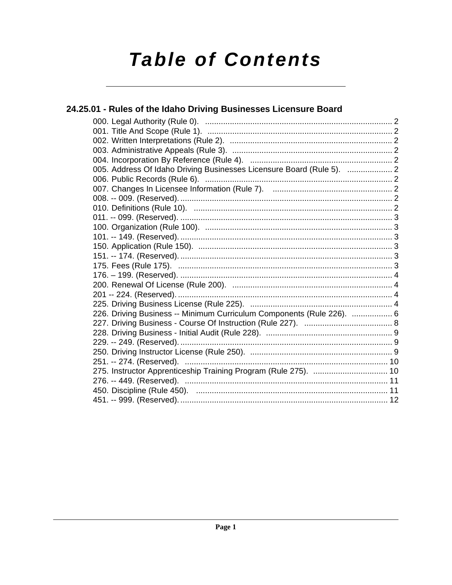# **Table of Contents**

| 24.25.01 - Rules of the Idaho Driving Businesses Licensure Board      |  |
|-----------------------------------------------------------------------|--|
|                                                                       |  |
|                                                                       |  |
|                                                                       |  |
|                                                                       |  |
|                                                                       |  |
| 005. Address Of Idaho Driving Businesses Licensure Board (Rule 5).  2 |  |
|                                                                       |  |
|                                                                       |  |
|                                                                       |  |
|                                                                       |  |
|                                                                       |  |
|                                                                       |  |
|                                                                       |  |
|                                                                       |  |
|                                                                       |  |
|                                                                       |  |
|                                                                       |  |
|                                                                       |  |
|                                                                       |  |
|                                                                       |  |
| 226. Driving Business -- Minimum Curriculum Components (Rule 226).  6 |  |
|                                                                       |  |
|                                                                       |  |
|                                                                       |  |
|                                                                       |  |
|                                                                       |  |
| 275. Instructor Apprenticeship Training Program (Rule 275).  10       |  |
|                                                                       |  |
|                                                                       |  |
|                                                                       |  |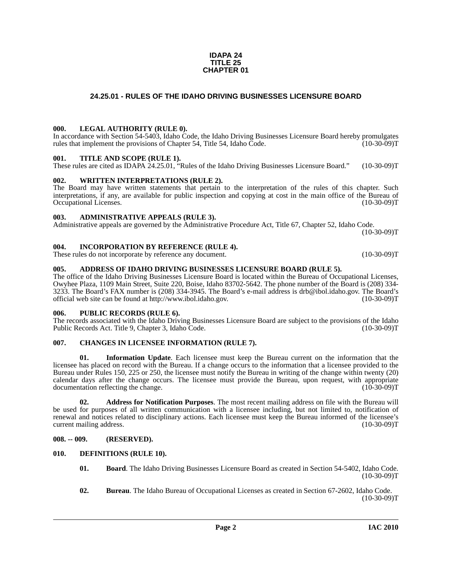## **24.25.01 - RULES OF THE IDAHO DRIVING BUSINESSES LICENSURE BOARD**

**IDAPA 24**

### <span id="page-1-1"></span><span id="page-1-0"></span>**000. LEGAL AUTHORITY (RULE 0).**

In accordance with Section 54-5403, Idaho Code, the Idaho Driving Businesses Licensure Board hereby promulgates rules that implement the provisions of Chapter 54, Title 54, Idaho Code. (10-30-09)T

#### <span id="page-1-2"></span>**001. TITLE AND SCOPE (RULE 1).**

These rules are cited as IDAPA 24.25.01, "Rules of the Idaho Driving Businesses Licensure Board." (10-30-09)T

#### <span id="page-1-3"></span>**002. WRITTEN INTERPRETATIONS (RULE 2).**

The Board may have written statements that pertain to the interpretation of the rules of this chapter. Such interpretations, if any, are available for public inspection and copying at cost in the main office of the Bureau of Occupational Licenses. (10-30-09)T Occupational Licenses.

#### <span id="page-1-4"></span>**003. ADMINISTRATIVE APPEALS (RULE 3).**

Administrative appeals are governed by the Administrative Procedure Act, Title 67, Chapter 52, Idaho Code.  $(10-30-09)T$ 

#### <span id="page-1-5"></span>**004. INCORPORATION BY REFERENCE (RULE 4).**

These rules do not incorporate by reference any document. (10-30-09) (10-30-09) T

#### <span id="page-1-6"></span>**005. ADDRESS OF IDAHO DRIVING BUSINESSES LICENSURE BOARD (RULE 5).**

[The office of the Idaho Driving Businesses Licensure Board is located within the Bureau of Occupational Licenses,](mailto:drb@ibol.idaho.gov. )  Owyhee Plaza, 1109 Main Street, Suite 220, Boise, Idaho 83702-5642. The phone number of the Board is (208) 334- 3233. The Board's FAX number is (208) 334-3945. The Board's e-mail address is drb@ibol.idaho.gov. The Board's [official web site can be found at h](mailto:drb@ibol.idaho.gov. )[ttp://www.ibol.idaho.gov. \(10-30-09\)T](http://www.ibol.idaho.gov)

#### <span id="page-1-7"></span>**006. PUBLIC RECORDS (RULE 6).**

The records associated with the Idaho Driving Businesses Licensure Board are subject to the provisions of the Idaho Public Records Act. Title 9, Chapter 3, Idaho Code. (10-30-09) Public Records Act. Title 9, Chapter 3, Idaho Code.

### <span id="page-1-14"></span><span id="page-1-8"></span>**007. CHANGES IN LICENSEE INFORMATION (RULE 7).**

<span id="page-1-16"></span>**01. Information Update**. Each licensee must keep the Bureau current on the information that the licensee has placed on record with the Bureau. If a change occurs to the information that a licensee provided to the Bureau under Rules 150, 225 or 250, the licensee must notify the Bureau in writing of the change within twenty (20) calendar days after the change occurs. The licensee must provide the Bureau, upon request, with appropriate documentation reflecting the change. (10-30-09)T

<span id="page-1-11"></span>**02. Address for Notification Purposes**. The most recent mailing address on file with the Bureau will be used for purposes of all written communication with a licensee including, but not limited to, notification of renewal and notices related to disciplinary actions. Each licensee must keep the Bureau informed of the licensee's current mailing address. (10-30-09)T

#### <span id="page-1-9"></span>**008. -- 009. (RESERVED).**

- <span id="page-1-15"></span><span id="page-1-13"></span><span id="page-1-12"></span><span id="page-1-10"></span>**010. DEFINITIONS (RULE 10).**
	- **01. Board**. The Idaho Driving Businesses Licensure Board as created in Section 54-5402, Idaho Code.  $(10-30-09)T$
	- **02. Bureau**. The Idaho Bureau of Occupational Licenses as created in Section 67-2602, Idaho Code.  $(10-30-09)T$

# **TITLE 25 CHAPTER 01**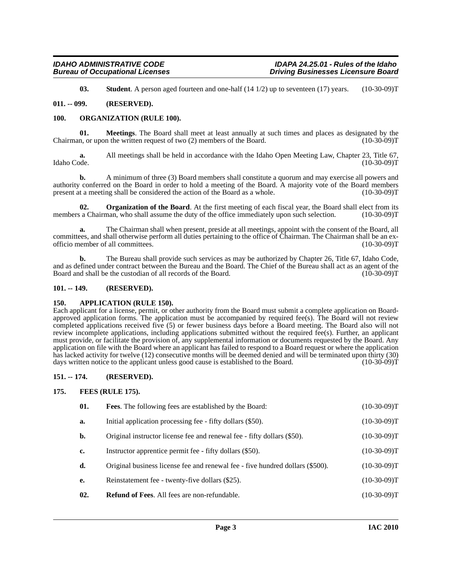<span id="page-2-12"></span><span id="page-2-9"></span><span id="page-2-8"></span>**03. Student**. A person aged fourteen and one-half (14 1/2) up to seventeen (17) years. (10-30-09)T

#### <span id="page-2-0"></span>**011. -- 099. (RESERVED).**

#### <span id="page-2-1"></span>**100. ORGANIZATION (RULE 100).**

**01. Meetings**. The Board shall meet at least annually at such times and places as designated by the n. or upon the written request of two (2) members of the Board. (10-30-09) Chairman, or upon the written request of two  $(2)$  members of the Board.

**a.** All meetings shall be held in accordance with the Idaho Open Meeting Law, Chapter 23, Title 67, Idaho Code. (10-30-09)T Idaho Code. (10-30-09)T

**b.** A minimum of three (3) Board members shall constitute a quorum and may exercise all powers and authority conferred on the Board in order to hold a meeting of the Board. A majority vote of the Board members present at a meeting shall be considered the action of the Board as a whole. (10-30-09)T

<span id="page-2-10"></span>**02. Organization of the Board**. At the first meeting of each fiscal year, the Board shall elect from its a Chairman, who shall assume the duty of the office immediately upon such selection. (10-30-09)T members a Chairman, who shall assume the duty of the office immediately upon such selection.

**a.** The Chairman shall when present, preside at all meetings, appoint with the consent of the Board, all committees, and shall otherwise perform all duties pertaining to the office of Chairman. The Chairman shall be an exofficio member of all committees.

**b.** The Bureau shall provide such services as may be authorized by Chapter 26, Title 67, Idaho Code, and as defined under contract between the Bureau and the Board. The Chief of the Bureau shall act as an agent of the<br>Board and shall be the custodian of all records of the Board. (10-30-09) Board and shall be the custodian of all records of the Board.

#### <span id="page-2-2"></span>**101. -- 149. (RESERVED).**

#### <span id="page-2-6"></span><span id="page-2-3"></span>**150. APPLICATION (RULE 150).**

Each applicant for a license, permit, or other authority from the Board must submit a complete application on Boardapproved application forms. The application must be accompanied by required fee(s). The Board will not review completed applications received five (5) or fewer business days before a Board meeting. The Board also will not review incomplete applications, including applications submitted without the required fee(s). Further, an applicant must provide, or facilitate the provision of, any supplemental information or documents requested by the Board. Any application on file with the Board where an applicant has failed to respond to a Board request or where the application has lacked activity for twelve (12) consecutive months will be deemed denied and will be terminated upon thirty (30) days written notice to the applicant unless good cause is established to the Board. (10-30-09)T

#### <span id="page-2-4"></span>**151. -- 174. (RESERVED).**

#### <span id="page-2-5"></span>**175. FEES (RULE 175).**

<span id="page-2-11"></span><span id="page-2-7"></span>

| 01. | <b>Fees.</b> The following fees are established by the Board:                 | $(10-30-09)T$ |
|-----|-------------------------------------------------------------------------------|---------------|
| a.  | Initial application processing fee - fifty dollars (\$50).                    | $(10-30-09)T$ |
| b.  | Original instructor license fee and renewal fee - fifty dollars (\$50).       | $(10-30-09)T$ |
| c.  | Instructor apprentice permit fee - fifty dollars (\$50).                      | $(10-30-09)T$ |
| d.  | Original business license fee and renewal fee - five hundred dollars (\$500). | $(10-30-09)T$ |
| e.  | Reinstatement fee - twenty-five dollars (\$25).                               | $(10-30-09)T$ |
| 02. | <b>Refund of Fees.</b> All fees are non-refundable.                           | $(10-30-09)T$ |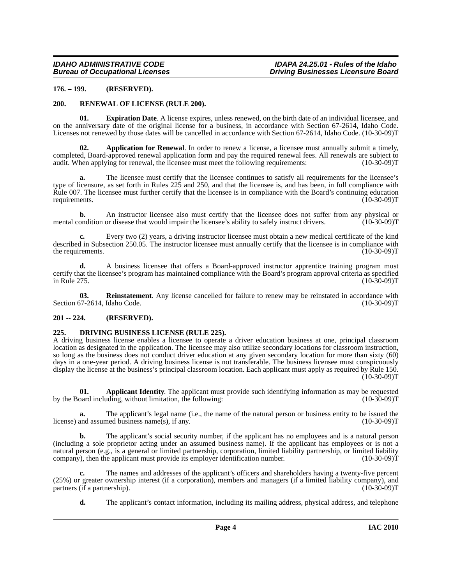#### <span id="page-3-0"></span>**176. – 199. (RESERVED).**

#### <span id="page-3-9"></span><span id="page-3-7"></span><span id="page-3-1"></span>**200. RENEWAL OF LICENSE (RULE 200).**

**01. Expiration Date**. A license expires, unless renewed, on the birth date of an individual licensee, and on the anniversary date of the original license for a business, in accordance with Section 67-2614, Idaho Code. Licenses not renewed by those dates will be cancelled in accordance with Section 67-2614, Idaho Code. (10-30-09)T

<span id="page-3-5"></span>**02. Application for Renewal**. In order to renew a license, a licensee must annually submit a timely, completed, Board-approved renewal application form and pay the required renewal fees. All renewals are subject to audit. When applying for renewal, the licensee must meet the following requirements: (10-30-09) audit. When applying for renewal, the licensee must meet the following requirements:

**a.** The licensee must certify that the licensee continues to satisfy all requirements for the licensee's type of licensure, as set forth in Rules 225 and 250, and that the licensee is, and has been, in full compliance with Rule 007. The licensee must further certify that the licensee is in compliance with the Board's continuing education requirements. (10-30-09) requirements. (10-30-09)T

**b.** An instructor licensee also must certify that the licensee does not suffer from any physical or mental condition or disease that would impair the licensee's ability to safely instruct drivers. (10-30-09) T

**c.** Every two (2) years, a driving instructor licensee must obtain a new medical certificate of the kind described in Subsection 250.05. The instructor licensee must annually certify that the licensee is in compliance with the requirements. (10-30-09)T the requirements.

**d.** A business licensee that offers a Board-approved instructor apprentice training program must certify that the licensee's program has maintained compliance with the Board's program approval criteria as specified<br>in Rule 275. (10-30-09)T in Rule 275. (10-30-09)T

<span id="page-3-8"></span>**03. Reinstatement**. Any license cancelled for failure to renew may be reinstated in accordance with Section 67-2614, Idaho Code. (10-30-09)T

#### <span id="page-3-2"></span>**201 -- 224. (RESERVED).**

#### <span id="page-3-6"></span><span id="page-3-3"></span>**225. DRIVING BUSINESS LICENSE (RULE 225).**

A driving business license enables a licensee to operate a driver education business at one, principal classroom location as designated in the application. The licensee may also utilize secondary locations for classroom instruction, so long as the business does not conduct driver education at any given secondary location for more than sixty (60) days in a one-year period. A driving business license is not transferable. The business licensee must conspicuously display the license at the business's principal classroom location. Each applicant must apply as required by Rule 150.  $(10-30-09)T$ 

<span id="page-3-4"></span>**01. Applicant Identity**. The applicant must provide such identifying information as may be requested pard including, without limitation, the following: (10-30-09) by the Board including, without limitation, the following:

**a.** The applicant's legal name (i.e., the name of the natural person or business entity to be issued the and assumed business name(s), if any. (10-30-09) license) and assumed business name(s), if any.

**b.** The applicant's social security number, if the applicant has no employees and is a natural person (including a sole proprietor acting under an assumed business name). If the applicant has employees or is not a natural person (e.g., is a general or limited partnership, corporation, limited liability partnership, or limited liability company), then the applicant must provide its employer identification number. (10-30-09)T

**c.** The names and addresses of the applicant's officers and shareholders having a twenty-five percent (25%) or greater ownership interest (if a corporation), members and managers (if a limited liability company), and partners (if a partnership).

**d.** The applicant's contact information, including its mailing address, physical address, and telephone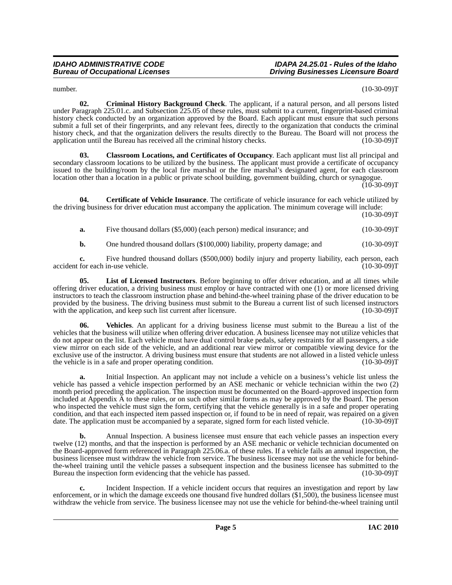#### *IDAHO ADMINISTRATIVE CODE IDAPA 24.25.01 - Rules of the Idaho Driving Businesses Licensure Board*

<span id="page-4-2"></span>number. (10-30-09)T

**02. Criminal History Background Check**. The applicant, if a natural person, and all persons listed under Paragraph 225.01.c. and Subsection 225.05 of these rules, must submit to a current, fingerprint-based criminal history check conducted by an organization approved by the Board. Each applicant must ensure that such persons submit a full set of their fingerprints, and any relevant fees, directly to the organization that conducts the criminal history check, and that the organization delivers the results directly to the Bureau. The Board will not process the application until the Bureau has received all the criminal history checks. (10-30-09) application until the Bureau has received all the criminal history checks.

<span id="page-4-1"></span>**03. Classroom Locations, and Certificates of Occupancy**. Each applicant must list all principal and secondary classroom locations to be utilized by the business. The applicant must provide a certificate of occupancy issued to the building/room by the local fire marshal or the fire marshal's designated agent, for each classroom location other than a location in a public or private school building, government building, church or synagogue.

 $(10-30-09)$ T

**04. Certificate of Vehicle Insurance**. The certificate of vehicle insurance for each vehicle utilized by the driving business for driver education must accompany the application. The minimum coverage will include:

 $(10-30-09)T$ 

<span id="page-4-0"></span>**a.** Five thousand dollars (\$5,000) (each person) medical insurance; and  $(10-30-09)T$ 

<span id="page-4-3"></span>**b.** One hundred thousand dollars (\$100,000) liability, property damage; and  $(10-30-09)T$ 

**c.** Five hundred thousand dollars (\$500,000) bodily injury and property liability, each person, each for each in-use vehicle. (10-30-09) accident for each in-use vehicle.

**05. List of Licensed Instructors**. Before beginning to offer driver education, and at all times while offering driver education, a driving business must employ or have contracted with one (1) or more licensed driving instructors to teach the classroom instruction phase and behind-the-wheel training phase of the driver education to be provided by the business. The driving business must submit to the Bureau a current list of such licensed instructors with the application, and keep such list current after licensure. (10-30-09) with the application, and keep such list current after licensure.

<span id="page-4-4"></span>**06. Vehicles**. An applicant for a driving business license must submit to the Bureau a list of the vehicles that the business will utilize when offering driver education. A business licensee may not utilize vehicles that do not appear on the list. Each vehicle must have dual control brake pedals, safety restraints for all passengers, a side view mirror on each side of the vehicle, and an additional rear view mirror or compatible viewing device for the exclusive use of the instructor. A driving business must ensure that students are not allowed in a listed vehicle unless the vehicle is in a safe and proper operating condition. (10-30-09) (10-30-09) T

**a.** Initial Inspection. An applicant may not include a vehicle on a business's vehicle list unless the vehicle has passed a vehicle inspection performed by an ASE mechanic or vehicle technician within the two (2) month period preceding the application. The inspection must be documented on the Board–approved inspection form included at Appendix A to these rules, or on such other similar forms as may be approved by the Board. The person who inspected the vehicle must sign the form, certifying that the vehicle generally is in a safe and proper operating condition, and that each inspected item passed inspection or, if found to be in need of repair, was repaired on a given<br>date. The application must be accompanied by a separate, signed form for each listed vehicle. (10-30-0 date. The application must be accompanied by a separate, signed form for each listed vehicle.

**b.** Annual Inspection. A business licensee must ensure that each vehicle passes an inspection every twelve (12) months, and that the inspection is performed by an ASE mechanic or vehicle technician documented on the Board-approved form referenced in Paragraph 225.06.a. of these rules. If a vehicle fails an annual inspection, the business licensee must withdraw the vehicle from service. The business licensee may not use the vehicle for behindthe-wheel training until the vehicle passes a subsequent inspection and the business licensee has submitted to the Bureau the inspection form evidencing that the vehicle has passed. (10-30-09) (10-30-09) T

**c.** Incident Inspection. If a vehicle incident occurs that requires an investigation and report by law enforcement, or in which the damage exceeds one thousand five hundred dollars (\$1,500), the business licensee must withdraw the vehicle from service. The business licensee may not use the vehicle for behind-the-wheel training until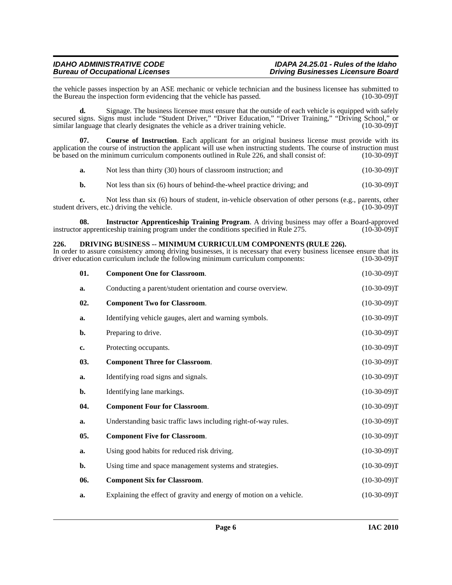the vehicle passes inspection by an ASE mechanic or vehicle technician and the business licensee has submitted to the Bureau the inspection form evidencing that the vehicle has passed. (10-30-09) the Bureau the inspection form evidencing that the vehicle has passed.

**d.** Signage. The business licensee must ensure that the outside of each vehicle is equipped with safely secured signs. Signs must include "Student Driver," "Driver Education," "Driver Training," "Driving School," or similar language that clearly designates the vehicle as a driver training vehicle. (10-30-09)T

**07. Course of Instruction**. Each applicant for an original business license must provide with its application the course of instruction the applicant will use when instructing students. The course of instruction must<br>be based on the minimum curriculum components outlined in Rule 226, and shall consist of: (10-30-09)T be based on the minimum curriculum components outlined in Rule 226, and shall consist of:

<span id="page-5-2"></span>

| a. | Not less than thirty (30) hours of classroom instruction; and | $(10-30-09)T$ |
|----|---------------------------------------------------------------|---------------|
|----|---------------------------------------------------------------|---------------|

<span id="page-5-4"></span>**b.** Not less than six (6) hours of behind-the-wheel practice driving; and  $(10-30-09)$ T

**c.** Not less than six (6) hours of student, in-vehicle observation of other persons (e.g., parents, other livers, etc.) driving the vehicle. (10-30-09) student drivers, etc.) driving the vehicle.

**08.** Instructor Apprenticeship Training Program. A driving business may offer a Board-approved r apprenticeship training program under the conditions specified in Rule 275. (10-30-09) instructor apprenticeship training program under the conditions specified in Rule 275.

#### <span id="page-5-3"></span><span id="page-5-0"></span>**226. DRIVING BUSINESS -- MINIMUM CURRICULUM COMPONENTS (RULE 226).**

In order to assure consistency among driving businesses, it is necessary that every business licensee ensure that its driver education curriculum include the following minimum curriculum components: (10-30-09)T

<span id="page-5-1"></span>

| 01. | <b>Component One for Classroom.</b>                                 | $(10-30-09)T$ |
|-----|---------------------------------------------------------------------|---------------|
| a.  | Conducting a parent/student orientation and course overview.        | $(10-30-09)T$ |
| 02. | <b>Component Two for Classroom.</b>                                 | $(10-30-09)T$ |
| a.  | Identifying vehicle gauges, alert and warning symbols.              | $(10-30-09)T$ |
| b.  | Preparing to drive.                                                 | $(10-30-09)T$ |
| c.  | Protecting occupants.                                               | $(10-30-09)T$ |
| 03. | <b>Component Three for Classroom.</b>                               | $(10-30-09)T$ |
| a.  | Identifying road signs and signals.                                 | $(10-30-09)T$ |
| b.  | Identifying lane markings.                                          | $(10-30-09)T$ |
| 04. | <b>Component Four for Classroom.</b>                                | $(10-30-09)T$ |
| a.  | Understanding basic traffic laws including right-of-way rules.      | $(10-30-09)T$ |
| 05. | <b>Component Five for Classroom.</b>                                | $(10-30-09)T$ |
| a.  | Using good habits for reduced risk driving.                         | $(10-30-09)T$ |
| b.  | Using time and space management systems and strategies.             | $(10-30-09)T$ |
| 06. | <b>Component Six for Classroom.</b>                                 | $(10-30-09)T$ |
| a.  | Explaining the effect of gravity and energy of motion on a vehicle. | $(10-30-09)T$ |
|     |                                                                     |               |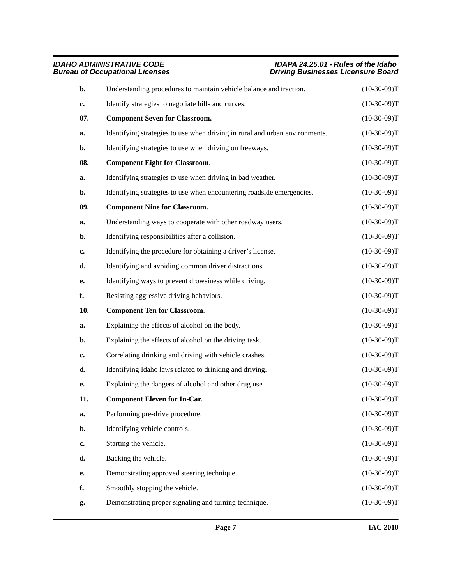<span id="page-6-0"></span>

| b.  | Understanding procedures to maintain vehicle balance and traction.          | $(10-30-09)T$ |
|-----|-----------------------------------------------------------------------------|---------------|
| c.  | Identify strategies to negotiate hills and curves.                          | $(10-30-09)T$ |
| 07. | <b>Component Seven for Classroom.</b>                                       | $(10-30-09)T$ |
| a.  | Identifying strategies to use when driving in rural and urban environments. | $(10-30-09)T$ |
| b.  | Identifying strategies to use when driving on freeways.                     | $(10-30-09)T$ |
| 08. | <b>Component Eight for Classroom.</b>                                       | $(10-30-09)T$ |
| a.  | Identifying strategies to use when driving in bad weather.                  | $(10-30-09)T$ |
| b.  | Identifying strategies to use when encountering roadside emergencies.       | $(10-30-09)T$ |
| 09. | <b>Component Nine for Classroom.</b>                                        | $(10-30-09)T$ |
| a.  | Understanding ways to cooperate with other roadway users.                   | $(10-30-09)T$ |
| b.  | Identifying responsibilities after a collision.                             | $(10-30-09)T$ |
| c.  | Identifying the procedure for obtaining a driver's license.                 | $(10-30-09)T$ |
| d.  | Identifying and avoiding common driver distractions.                        | $(10-30-09)T$ |
| e.  | Identifying ways to prevent drowsiness while driving.                       | $(10-30-09)T$ |
| f.  | Resisting aggressive driving behaviors.                                     | $(10-30-09)T$ |
| 10. | <b>Component Ten for Classroom.</b>                                         | $(10-30-09)T$ |
| a.  | Explaining the effects of alcohol on the body.                              | $(10-30-09)T$ |
| b.  | Explaining the effects of alcohol on the driving task.                      | $(10-30-09)T$ |
| c.  | Correlating drinking and driving with vehicle crashes.                      | $(10-30-09)T$ |
| d.  | Identifying Idaho laws related to drinking and driving.                     | $(10-30-09)T$ |
| e.  | Explaining the dangers of alcohol and other drug use.                       | $(10-30-09)T$ |
| 11. | <b>Component Eleven for In-Car.</b>                                         | $(10-30-09)T$ |
| a.  | Performing pre-drive procedure.                                             | $(10-30-09)T$ |
| b.  | Identifying vehicle controls.                                               | $(10-30-09)T$ |
| c.  | Starting the vehicle.                                                       | $(10-30-09)T$ |
| d.  | Backing the vehicle.                                                        | $(10-30-09)T$ |
| e.  | Demonstrating approved steering technique.                                  | $(10-30-09)T$ |
| f.  | Smoothly stopping the vehicle.                                              | $(10-30-09)T$ |
| g.  | Demonstrating proper signaling and turning technique.                       | $(10-30-09)T$ |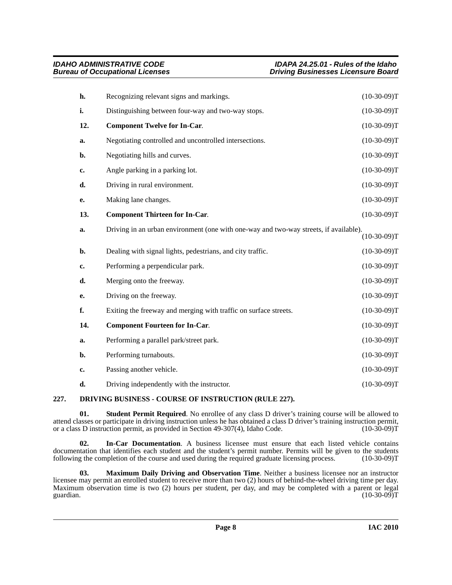| h.  | Recognizing relevant signs and markings.                                              | $(10-30-09)T$ |
|-----|---------------------------------------------------------------------------------------|---------------|
| i.  | Distinguishing between four-way and two-way stops.                                    | $(10-30-09)T$ |
| 12. | <b>Component Twelve for In-Car.</b>                                                   | $(10-30-09)T$ |
| a.  | Negotiating controlled and uncontrolled intersections.                                | $(10-30-09)T$ |
| b.  | Negotiating hills and curves.                                                         | $(10-30-09)T$ |
| c.  | Angle parking in a parking lot.                                                       | $(10-30-09)T$ |
| d.  | Driving in rural environment.                                                         | $(10-30-09)T$ |
| е.  | Making lane changes.                                                                  | $(10-30-09)T$ |
| 13. | <b>Component Thirteen for In-Car.</b>                                                 | $(10-30-09)T$ |
| a.  | Driving in an urban environment (one with one-way and two-way streets, if available). | $(10-30-09)T$ |
| b.  | Dealing with signal lights, pedestrians, and city traffic.                            | $(10-30-09)T$ |
| c.  | Performing a perpendicular park.                                                      | $(10-30-09)T$ |
| d.  | Merging onto the freeway.                                                             | $(10-30-09)T$ |
| e.  | Driving on the freeway.                                                               | $(10-30-09)T$ |
| f.  | Exiting the freeway and merging with traffic on surface streets.                      | $(10-30-09)T$ |
| 14. | <b>Component Fourteen for In-Car.</b>                                                 | $(10-30-09)T$ |
| a.  | Performing a parallel park/street park.                                               | $(10-30-09)T$ |
| b.  | Performing turnabouts.                                                                | $(10-30-09)T$ |
| c.  | Passing another vehicle.                                                              | $(10-30-09)T$ |
| d.  | Driving independently with the instructor.                                            | $(10-30-09)T$ |
|     |                                                                                       |               |

### <span id="page-7-1"></span><span id="page-7-0"></span>**227. DRIVING BUSINESS - COURSE OF INSTRUCTION (RULE 227).**

<span id="page-7-3"></span>**01. Student Permit Required**. No enrollee of any class D driver's training course will be allowed to attend classes or participate in driving instruction unless he has obtained a class D driver's training instruction permit, or a class D instruction permit, as provided in Section 49-307(4), Idaho Code. (10-30-09)T

**02. In-Car Documentation**. A business licensee must ensure that each listed vehicle contains documentation that identifies each student and the student's permit number. Permits will be given to the students following the completion of the course and used during the required graduate licensing process. (10-30-09)T following the completion of the course and used during the required graduate licensing process.

<span id="page-7-2"></span>**03. Maximum Daily Driving and Observation Time**. Neither a business licensee nor an instructor licensee may permit an enrolled student to receive more than two (2) hours of behind-the-wheel driving time per day. Maximum observation time is two (2) hours per student, per day, and may be completed with a parent or legal guardian. (10-30-09)T guardian.  $(10-30-09)T$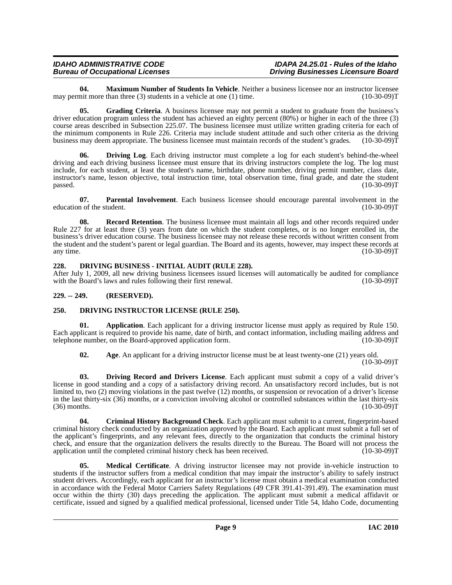<span id="page-8-11"></span>**04. Maximum Number of Students In Vehicle**. Neither a business licensee nor an instructor licensee nor than three (3) students in a vehicle at one (1) time. may permit more than three  $(3)$  students in a vehicle at one  $(1)$  time.

<span id="page-8-9"></span>**05.** Grading Criteria. A business licensee may not permit a student to graduate from the business's driver education program unless the student has achieved an eighty percent (80%) or higher in each of the three (3) course areas described in Subsection 225.07. The business licensee must utilize written grading criteria for each of the minimum components in Rule 226. Criteria may include student attitude and such other criteria as the driving business may deem appropriate. The business licensee must maintain records of the student's grades. (10-30-09)T

<span id="page-8-7"></span>**Driving Log.** Each driving instructor must complete a log for each student's behind-the-wheel driving and each driving business licensee must ensure that its driving instructors complete the log. The log must include, for each student, at least the student's name, birthdate, phone number, driving permit number, class date, instructor's name, lesson objective, total instruction time, total observation time, final grade, and date the student  $p$ assed.  $(10-30-09)T$ 

<span id="page-8-13"></span>**07. Parental Involvement**. Each business licensee should encourage parental involvement in the n of the student. (10-30-09) education of the student.

<span id="page-8-14"></span>**08. Record Retention**. The business licensee must maintain all logs and other records required under Rule 227 for at least three (3) years from date on which the student completes, or is no longer enrolled in, the business's driver education course. The business licensee may not release these records without written consent from the student and the student's parent or legal guardian. The Board and its agents, however, may inspect these records at any time. (10-30-09)T any time. (10-30-09)T

#### <span id="page-8-10"></span><span id="page-8-0"></span>**228. DRIVING BUSINESS - INITIAL AUDIT (RULE 228).**

After July 1, 2009, all new driving business licensees issued licenses will automatically be audited for compliance with the Board's laws and rules following their first renewal. (10-30-09) (10-30-09) T

#### <span id="page-8-1"></span>**229. -- 249. (RESERVED).**

### <span id="page-8-6"></span><span id="page-8-2"></span>**250. DRIVING INSTRUCTOR LICENSE (RULE 250).**

**01. Application**. Each applicant for a driving instructor license must apply as required by Rule 150. Each applicant is required to provide his name, date of birth, and contact information, including mailing address and telephone number, on the Board-approved application form. (10-30-09) telephone number, on the Board-approved application form.

<span id="page-8-8"></span><span id="page-8-4"></span><span id="page-8-3"></span>**02.** Age. An applicant for a driving instructor license must be at least twenty-one (21) years old.  $(10-30-09)T$ 

**03. Driving Record and Drivers License**. Each applicant must submit a copy of a valid driver's license in good standing and a copy of a satisfactory driving record. An unsatisfactory record includes, but is not limited to, two (2) moving violations in the past twelve (12) months, or suspension or revocation of a driver's license in the last thirty-six (36) months, or a conviction involving alcohol or controlled substances within the last thirty-six (36) months. (10-30-09)  $(36)$  months.

<span id="page-8-5"></span>**04. Criminal History Background Check**. Each applicant must submit to a current, fingerprint-based criminal history check conducted by an organization approved by the Board. Each applicant must submit a full set of the applicant's fingerprints, and any relevant fees, directly to the organization that conducts the criminal history check, and ensure that the organization delivers the results directly to the Bureau. The Board will not process the application until the completed criminal history check has been received. (10-30-09) application until the completed criminal history check has been received.

<span id="page-8-12"></span>**05. Medical Certificate**. A driving instructor licensee may not provide in-vehicle instruction to students if the instructor suffers from a medical condition that may impair the instructor's ability to safely instruct student drivers. Accordingly, each applicant for an instructor's license must obtain a medical examination conducted in accordance with the Federal Motor Carriers Safety Regulations (49 CFR 391.41-391.49). The examination must occur within the thirty (30) days preceding the application. The applicant must submit a medical affidavit or certificate, issued and signed by a qualified medical professional, licensed under Title 54, Idaho Code, documenting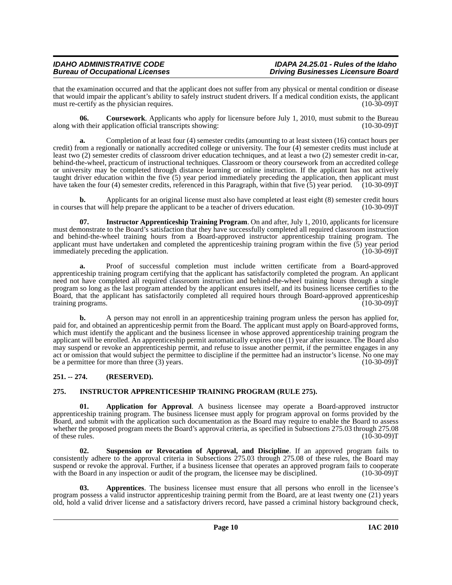that the examination occurred and that the applicant does not suffer from any physical or mental condition or disease that would impair the applicant's ability to safely instruct student drivers. If a medical condition exists, the applicant must re-certify as the physician requires. (10-30-09)T

<span id="page-9-4"></span>**06. Coursework**. Applicants who apply for licensure before July 1, 2010, must submit to the Bureau along with their application official transcripts showing: (10-30-09)T

**a.** Completion of at least four (4) semester credits (amounting to at least sixteen (16) contact hours per credit) from a regionally or nationally accredited college or university. The four (4) semester credits must include at least two (2) semester credits of classroom driver education techniques, and at least a two (2) semester credit in-car, behind-the-wheel, practicum of instructional techniques. Classroom or theory coursework from an accredited college or university may be completed through distance learning or online instruction. If the applicant has not actively taught driver education within the five (5) year period immediately preceding the application, then applicant must have taken the four (4) semester credits, referenced in this Paragraph, within that five  $(5)$  year period.  $(10-30-09)T$ 

**b.** Applicants for an original license must also have completed at least eight (8) semester credit hours es that will help prepare the applicant to be a teacher of drivers education. (10-30-09) in courses that will help prepare the applicant to be a teacher of drivers education.

<span id="page-9-6"></span>**07. Instructor Apprenticeship Training Program**. On and after, July 1, 2010, applicants for licensure must demonstrate to the Board's satisfaction that they have successfully completed all required classroom instruction and behind-the-wheel training hours from a Board-approved instructor apprenticeship training program. The applicant must have undertaken and completed the apprenticeship training program within the five  $(5)$  year period immediately preceding the application. immediately preceding the application.

**a.** Proof of successful completion must include written certificate from a Board-approved apprenticeship training program certifying that the applicant has satisfactorily completed the program. An applicant need not have completed all required classroom instruction and behind-the-wheel training hours through a single program so long as the last program attended by the applicant ensures itself, and its business licensee certifies to the Board, that the applicant has satisfactorily completed all required hours through Board-approved apprenticeship training programs. (10-30-09)T

**b.** A person may not enroll in an apprenticeship training program unless the person has applied for, paid for, and obtained an apprenticeship permit from the Board. The applicant must apply on Board-approved forms, which must identify the applicant and the business licensee in whose approved apprenticeship training program the applicant will be enrolled. An apprenticeship permit automatically expires one (1) year after issuance. The Board also may suspend or revoke an apprenticeship permit, and refuse to issue another permit, if the permittee engages in any act or omission that would subject the permittee to discipline if the permittee had an instructor's license. No one may be a permittee for more than three (3) years. (10-30-09) (10-30-09) T

### <span id="page-9-0"></span>**251. -- 274. (RESERVED).**

### <span id="page-9-5"></span><span id="page-9-1"></span>**275. INSTRUCTOR APPRENTICESHIP TRAINING PROGRAM (RULE 275).**

<span id="page-9-2"></span>**01. Application for Approval**. A business licensee may operate a Board-approved instructor apprenticeship training program. The business licensee must apply for program approval on forms provided by the Board, and submit with the application such documentation as the Board may require to enable the Board to assess whether the proposed program meets the Board's approval criteria, as specified in Subsections 275.03 through 275.08 of these rules.  $(10-30-09)T$ 

<span id="page-9-7"></span>Suspension or Revocation of Approval, and Discipline. If an approved program fails to consistently adhere to the approval criteria in Subsections 275.03 through 275.08 of these rules, the Board may suspend or revoke the approval. Further, if a business licensee that operates an approved program fails to cooperate with the Board in any inspection or audit of the program, the licensee may be disciplined. (10-30-09)T with the Board in any inspection or audit of the program, the licensee may be disciplined.

<span id="page-9-3"></span>**03. Apprentices**. The business licensee must ensure that all persons who enroll in the licensee's program possess a valid instructor apprenticeship training permit from the Board, are at least twenty one (21) years old, hold a valid driver license and a satisfactory drivers record, have passed a criminal history background check,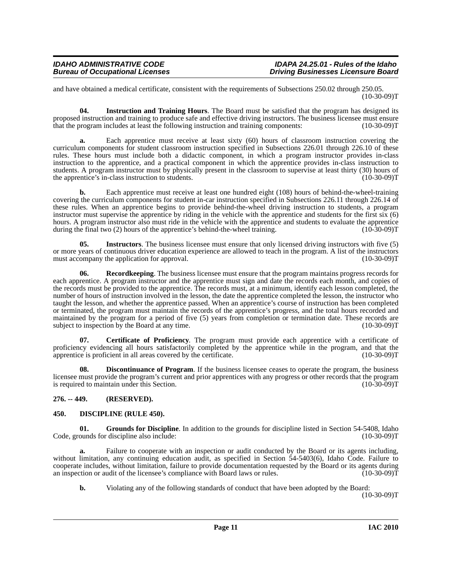#### *IDAHO ADMINISTRATIVE CODE IDAPA 24.25.01 - Rules of the Idaho Driving Businesses Licensure Board*

and have obtained a medical certificate, consistent with the requirements of Subsections 250.02 through 250.05. (10-30-09)T

<span id="page-10-6"></span>**04. Instruction and Training Hours**. The Board must be satisfied that the program has designed its proposed instruction and training to produce safe and effective driving instructors. The business licensee must ensure that the program includes at least the following instruction and training components: (10-30-09)T

**a.** Each apprentice must receive at least sixty (60) hours of classroom instruction covering the curriculum components for student classroom instruction specified in Subsections 226.01 through 226.10 of these rules. These hours must include both a didactic component, in which a program instructor provides in-class instruction to the apprentice, and a practical component in which the apprentice provides in-class instruction to students. A program instructor must by physically present in the classroom to supervise at least thirty (30) hours of the apprentice's in-class instruction to students. (10-30-09) the apprentice's in-class instruction to students.

**b.** Each apprentice must receive at least one hundred eight (108) hours of behind-the-wheel-training covering the curriculum components for student in-car instruction specified in Subsections 226.11 through 226.14 of these rules. When an apprentice begins to provide behind-the-wheel driving instruction to students, a program instructor must supervise the apprentice by riding in the vehicle with the apprentice and students for the first six (6) hours. A program instructor also must ride in the vehicle with the apprentice and students to evaluate the apprentice during the final two (2) hours of the apprentice's behind-the-wheel training. (10-30-09)T

<span id="page-10-7"></span>**05. Instructors**. The business licensee must ensure that only licensed driving instructors with five (5) or more years of continuous driver education experience are allowed to teach in the program. A list of the instructors must accompany the application for approval. (10-30-09)T

<span id="page-10-8"></span>**06. Recordkeeping**. The business licensee must ensure that the program maintains progress records for each apprentice. A program instructor and the apprentice must sign and date the records each month, and copies of the records must be provided to the apprentice. The records must, at a minimum, identify each lesson completed, the number of hours of instruction involved in the lesson, the date the apprentice completed the lesson, the instructor who taught the lesson, and whether the apprentice passed. When an apprentice's course of instruction has been completed or terminated, the program must maintain the records of the apprentice's progress, and the total hours recorded and maintained by the program for a period of five (5) years from completion or termination date. These records are subject to inspection by the Board at any time. (10-30-09)T

<span id="page-10-2"></span>**07. Certificate of Proficiency**. The program must provide each apprentice with a certificate of proficiency evidencing all hours satisfactorily completed by the apprentice while in the program, and that the apprentice is proficient in all areas covered by the certificate. (10-30-09) apprentice is proficient in all areas covered by the certificate.

<span id="page-10-4"></span>**Discontinuance of Program**. If the business licensee ceases to operate the program, the business licensee must provide the program's current and prior apprentices with any progress or other records that the program<br>is required to maintain under this Section. is required to maintain under this Section.

#### <span id="page-10-0"></span>**276. -- 449. (RESERVED).**

#### <span id="page-10-3"></span><span id="page-10-1"></span>**450. DISCIPLINE (RULE 450).**

<span id="page-10-5"></span>**01. Grounds for Discipline**. In addition to the grounds for discipline listed in Section 54-5408, Idaho Code, grounds for discipline also include: (10-30-09)T

**a.** Failure to cooperate with an inspection or audit conducted by the Board or its agents including, without limitation, any continuing education audit, as specified in Section 54-5403(6), Idaho Code. Failure to cooperate includes, without limitation, failure to provide documentation requested by the Board or its agents during<br>an inspection or audit of the licensee's compliance with Board laws or rules. (10-30-09) an inspection or audit of the licensee's compliance with Board laws or rules.

**b.** Violating any of the following standards of conduct that have been adopted by the Board: (10-30-09)T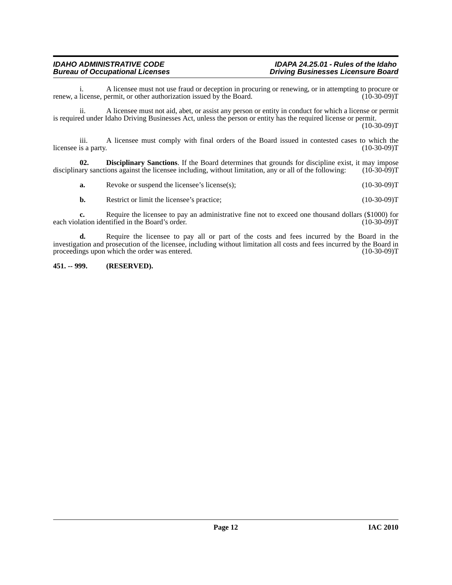i. A licensee must not use fraud or deception in procuring or renewing, or in attempting to procure or license, permit, or other authorization issued by the Board. (10-30-09) renew, a license, permit, or other authorization issued by the Board.

ii. A licensee must not aid, abet, or assist any person or entity in conduct for which a license or permit is required under Idaho Driving Businesses Act, unless the person or entity has the required license or permit.

 $(10-30-09)T$ 

iii. A licensee must comply with final orders of the Board issued in contested cases to which the licensee is a party. (10-30-09)T

**02. Disciplinary Sanctions**. If the Board determines that grounds for discipline exist, it may impose ary sanctions against the licensee including, without limitation, any or all of the following: (10-30-09)T disciplinary sanctions against the licensee including, without limitation, any or all of the following:

<span id="page-11-1"></span>**a.** Revoke or suspend the licensee's license(s); (10-30-09)T

**b.** Restrict or limit the licensee's practice; (10-30-09)T

**c.** Require the licensee to pay an administrative fine not to exceed one thousand dollars (\$1000) for each violation identified in the Board's order. (10-30-09)T

**d.** Require the licensee to pay all or part of the costs and fees incurred by the Board in the investigation and prosecution of the licensee, including without limitation all costs and fees incurred by the Board in proceedings upon which the order was entered. (10-30-09) proceedings upon which the order was entered.

#### <span id="page-11-0"></span>**451. -- 999. (RESERVED).**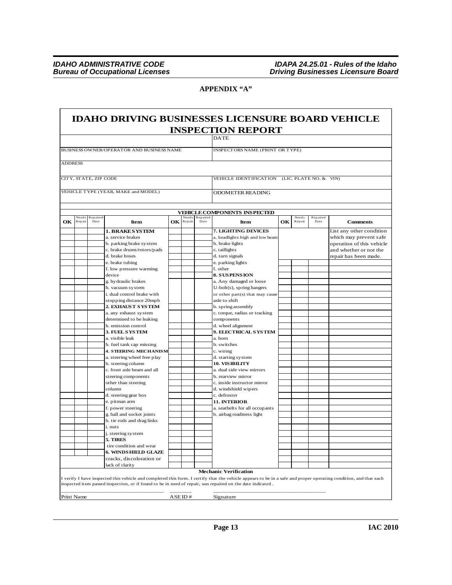$\Gamma$ 

٦

### **APPENDIX "A"**

| BUSINESS OWNER/OPERATOR AND BUSINESS NAME<br><b>INSPECT ORS NAME (PRINT OR TYPE)</b><br><b>ADDRESS</b><br>CITY, STATE, ZIP CODE<br>VEHICLE IDENTIFICATION (LIC. PLATE NO. & VIN)<br>VEHICLE TYPE (YEAR, MAKE and MODEL)<br><b>ODOMETER READING</b><br><b>VEHICLE COMPONENTS INSPECTED</b><br>Need s<br>Repaired<br>Needs<br>Repaired<br>Needs<br>Repaired<br>OK Repair<br>OК<br>Repair<br><b>Comments</b><br>Repair<br>Date<br>Item<br>Date<br>Item<br>Date<br>7. LIGHTING DEVICES<br><b>1. BRAKE SYSTEM</b><br>a. service brakes<br>a. headlights high and low beam<br>which may prevent safe<br>b. brake lights<br>b. parking brake system<br>c. brake drums/rotors/pads<br>c. taillights<br>and whether or not the<br>d. brake hoses<br>d. turn signals<br>repair has been made.<br>e. brake tubing<br>e. parking lights<br>f. low pressure warming<br>f. other<br><b>8. SUSPENSION</b><br>device<br>g. hy draulic brakes<br>a. Any damaged or loose<br>h. vacuum system<br>$U$ -bolt $(s)$ , spring hangers<br>i. dual control brake with<br>or other part(s) that may cause<br>stopping distance 20mph<br>axle to shift<br>b. spring assembly<br>2. EXHAUS T S YS TEM<br>c. torque, radius or tracking<br>a. any exhaust system<br>determined to be leaking<br>components<br>b. emission control<br>d. wheel alignment<br>3. FUEL SYSTEM<br>9. ELECTRICAL SYSTEM<br>a. visible leak<br>a. horn<br>b. fuel tank cap missing<br>b. switches<br><b>4. STEERING MECHANISM</b><br>c. wiring<br>a. steering wheel free play<br>d. starting system<br><b>10. VISIBILITY</b><br>b. steering column<br>c. front axle beam and all<br>a. dual side view mirrors<br>steering components<br>b. rearview mirror<br>other than steering<br>c. inside instructor mirror<br>d. windshield wipers<br>column<br>d. steering gear box<br>c. defroster<br>11. INTERIOR<br>e. pitman arm<br>f. power steering<br>a. seatbelts for all occupants<br>g. ball and socket joints<br>b. airbag readiness light<br>h. tie rods and drag links<br>i. nuts<br>j. steering system<br>5. TIRES<br>tire condition and wear<br>6. WINDS HIELD GLAZE<br>cracks, discoloration or<br>lack of clarity<br><b>Mechanic Verification</b><br>I verify I have inspected this vehicle and completed this form. I certify that the vehicle appears to be in a safe and proper operating condition, and that each<br>inspected item passed inspection, or if found to be in need of repair, was repaired on the date indicated. |    |  |  |  |  |  | <b>INSPECTION REPORT</b><br><b>DATE</b> |  |                           |
|------------------------------------------------------------------------------------------------------------------------------------------------------------------------------------------------------------------------------------------------------------------------------------------------------------------------------------------------------------------------------------------------------------------------------------------------------------------------------------------------------------------------------------------------------------------------------------------------------------------------------------------------------------------------------------------------------------------------------------------------------------------------------------------------------------------------------------------------------------------------------------------------------------------------------------------------------------------------------------------------------------------------------------------------------------------------------------------------------------------------------------------------------------------------------------------------------------------------------------------------------------------------------------------------------------------------------------------------------------------------------------------------------------------------------------------------------------------------------------------------------------------------------------------------------------------------------------------------------------------------------------------------------------------------------------------------------------------------------------------------------------------------------------------------------------------------------------------------------------------------------------------------------------------------------------------------------------------------------------------------------------------------------------------------------------------------------------------------------------------------------------------------------------------------------------------------------------------------------------------------------------------------------------------------------------------------------------------------------------------------------------------------------------------------------------------------------------------------------------------|----|--|--|--|--|--|-----------------------------------------|--|---------------------------|
|                                                                                                                                                                                                                                                                                                                                                                                                                                                                                                                                                                                                                                                                                                                                                                                                                                                                                                                                                                                                                                                                                                                                                                                                                                                                                                                                                                                                                                                                                                                                                                                                                                                                                                                                                                                                                                                                                                                                                                                                                                                                                                                                                                                                                                                                                                                                                                                                                                                                                          |    |  |  |  |  |  |                                         |  |                           |
|                                                                                                                                                                                                                                                                                                                                                                                                                                                                                                                                                                                                                                                                                                                                                                                                                                                                                                                                                                                                                                                                                                                                                                                                                                                                                                                                                                                                                                                                                                                                                                                                                                                                                                                                                                                                                                                                                                                                                                                                                                                                                                                                                                                                                                                                                                                                                                                                                                                                                          |    |  |  |  |  |  |                                         |  |                           |
|                                                                                                                                                                                                                                                                                                                                                                                                                                                                                                                                                                                                                                                                                                                                                                                                                                                                                                                                                                                                                                                                                                                                                                                                                                                                                                                                                                                                                                                                                                                                                                                                                                                                                                                                                                                                                                                                                                                                                                                                                                                                                                                                                                                                                                                                                                                                                                                                                                                                                          |    |  |  |  |  |  |                                         |  |                           |
|                                                                                                                                                                                                                                                                                                                                                                                                                                                                                                                                                                                                                                                                                                                                                                                                                                                                                                                                                                                                                                                                                                                                                                                                                                                                                                                                                                                                                                                                                                                                                                                                                                                                                                                                                                                                                                                                                                                                                                                                                                                                                                                                                                                                                                                                                                                                                                                                                                                                                          |    |  |  |  |  |  |                                         |  |                           |
|                                                                                                                                                                                                                                                                                                                                                                                                                                                                                                                                                                                                                                                                                                                                                                                                                                                                                                                                                                                                                                                                                                                                                                                                                                                                                                                                                                                                                                                                                                                                                                                                                                                                                                                                                                                                                                                                                                                                                                                                                                                                                                                                                                                                                                                                                                                                                                                                                                                                                          |    |  |  |  |  |  |                                         |  |                           |
|                                                                                                                                                                                                                                                                                                                                                                                                                                                                                                                                                                                                                                                                                                                                                                                                                                                                                                                                                                                                                                                                                                                                                                                                                                                                                                                                                                                                                                                                                                                                                                                                                                                                                                                                                                                                                                                                                                                                                                                                                                                                                                                                                                                                                                                                                                                                                                                                                                                                                          |    |  |  |  |  |  |                                         |  |                           |
|                                                                                                                                                                                                                                                                                                                                                                                                                                                                                                                                                                                                                                                                                                                                                                                                                                                                                                                                                                                                                                                                                                                                                                                                                                                                                                                                                                                                                                                                                                                                                                                                                                                                                                                                                                                                                                                                                                                                                                                                                                                                                                                                                                                                                                                                                                                                                                                                                                                                                          |    |  |  |  |  |  |                                         |  |                           |
|                                                                                                                                                                                                                                                                                                                                                                                                                                                                                                                                                                                                                                                                                                                                                                                                                                                                                                                                                                                                                                                                                                                                                                                                                                                                                                                                                                                                                                                                                                                                                                                                                                                                                                                                                                                                                                                                                                                                                                                                                                                                                                                                                                                                                                                                                                                                                                                                                                                                                          |    |  |  |  |  |  |                                         |  |                           |
|                                                                                                                                                                                                                                                                                                                                                                                                                                                                                                                                                                                                                                                                                                                                                                                                                                                                                                                                                                                                                                                                                                                                                                                                                                                                                                                                                                                                                                                                                                                                                                                                                                                                                                                                                                                                                                                                                                                                                                                                                                                                                                                                                                                                                                                                                                                                                                                                                                                                                          | OK |  |  |  |  |  |                                         |  |                           |
|                                                                                                                                                                                                                                                                                                                                                                                                                                                                                                                                                                                                                                                                                                                                                                                                                                                                                                                                                                                                                                                                                                                                                                                                                                                                                                                                                                                                                                                                                                                                                                                                                                                                                                                                                                                                                                                                                                                                                                                                                                                                                                                                                                                                                                                                                                                                                                                                                                                                                          |    |  |  |  |  |  |                                         |  | List any other condition  |
|                                                                                                                                                                                                                                                                                                                                                                                                                                                                                                                                                                                                                                                                                                                                                                                                                                                                                                                                                                                                                                                                                                                                                                                                                                                                                                                                                                                                                                                                                                                                                                                                                                                                                                                                                                                                                                                                                                                                                                                                                                                                                                                                                                                                                                                                                                                                                                                                                                                                                          |    |  |  |  |  |  |                                         |  |                           |
|                                                                                                                                                                                                                                                                                                                                                                                                                                                                                                                                                                                                                                                                                                                                                                                                                                                                                                                                                                                                                                                                                                                                                                                                                                                                                                                                                                                                                                                                                                                                                                                                                                                                                                                                                                                                                                                                                                                                                                                                                                                                                                                                                                                                                                                                                                                                                                                                                                                                                          |    |  |  |  |  |  |                                         |  | operation of this vehicle |
|                                                                                                                                                                                                                                                                                                                                                                                                                                                                                                                                                                                                                                                                                                                                                                                                                                                                                                                                                                                                                                                                                                                                                                                                                                                                                                                                                                                                                                                                                                                                                                                                                                                                                                                                                                                                                                                                                                                                                                                                                                                                                                                                                                                                                                                                                                                                                                                                                                                                                          |    |  |  |  |  |  |                                         |  |                           |
|                                                                                                                                                                                                                                                                                                                                                                                                                                                                                                                                                                                                                                                                                                                                                                                                                                                                                                                                                                                                                                                                                                                                                                                                                                                                                                                                                                                                                                                                                                                                                                                                                                                                                                                                                                                                                                                                                                                                                                                                                                                                                                                                                                                                                                                                                                                                                                                                                                                                                          |    |  |  |  |  |  |                                         |  |                           |
|                                                                                                                                                                                                                                                                                                                                                                                                                                                                                                                                                                                                                                                                                                                                                                                                                                                                                                                                                                                                                                                                                                                                                                                                                                                                                                                                                                                                                                                                                                                                                                                                                                                                                                                                                                                                                                                                                                                                                                                                                                                                                                                                                                                                                                                                                                                                                                                                                                                                                          |    |  |  |  |  |  |                                         |  |                           |
|                                                                                                                                                                                                                                                                                                                                                                                                                                                                                                                                                                                                                                                                                                                                                                                                                                                                                                                                                                                                                                                                                                                                                                                                                                                                                                                                                                                                                                                                                                                                                                                                                                                                                                                                                                                                                                                                                                                                                                                                                                                                                                                                                                                                                                                                                                                                                                                                                                                                                          |    |  |  |  |  |  |                                         |  |                           |
|                                                                                                                                                                                                                                                                                                                                                                                                                                                                                                                                                                                                                                                                                                                                                                                                                                                                                                                                                                                                                                                                                                                                                                                                                                                                                                                                                                                                                                                                                                                                                                                                                                                                                                                                                                                                                                                                                                                                                                                                                                                                                                                                                                                                                                                                                                                                                                                                                                                                                          |    |  |  |  |  |  |                                         |  |                           |
|                                                                                                                                                                                                                                                                                                                                                                                                                                                                                                                                                                                                                                                                                                                                                                                                                                                                                                                                                                                                                                                                                                                                                                                                                                                                                                                                                                                                                                                                                                                                                                                                                                                                                                                                                                                                                                                                                                                                                                                                                                                                                                                                                                                                                                                                                                                                                                                                                                                                                          |    |  |  |  |  |  |                                         |  |                           |
|                                                                                                                                                                                                                                                                                                                                                                                                                                                                                                                                                                                                                                                                                                                                                                                                                                                                                                                                                                                                                                                                                                                                                                                                                                                                                                                                                                                                                                                                                                                                                                                                                                                                                                                                                                                                                                                                                                                                                                                                                                                                                                                                                                                                                                                                                                                                                                                                                                                                                          |    |  |  |  |  |  |                                         |  |                           |
|                                                                                                                                                                                                                                                                                                                                                                                                                                                                                                                                                                                                                                                                                                                                                                                                                                                                                                                                                                                                                                                                                                                                                                                                                                                                                                                                                                                                                                                                                                                                                                                                                                                                                                                                                                                                                                                                                                                                                                                                                                                                                                                                                                                                                                                                                                                                                                                                                                                                                          |    |  |  |  |  |  |                                         |  |                           |
|                                                                                                                                                                                                                                                                                                                                                                                                                                                                                                                                                                                                                                                                                                                                                                                                                                                                                                                                                                                                                                                                                                                                                                                                                                                                                                                                                                                                                                                                                                                                                                                                                                                                                                                                                                                                                                                                                                                                                                                                                                                                                                                                                                                                                                                                                                                                                                                                                                                                                          |    |  |  |  |  |  |                                         |  |                           |
|                                                                                                                                                                                                                                                                                                                                                                                                                                                                                                                                                                                                                                                                                                                                                                                                                                                                                                                                                                                                                                                                                                                                                                                                                                                                                                                                                                                                                                                                                                                                                                                                                                                                                                                                                                                                                                                                                                                                                                                                                                                                                                                                                                                                                                                                                                                                                                                                                                                                                          |    |  |  |  |  |  |                                         |  |                           |
|                                                                                                                                                                                                                                                                                                                                                                                                                                                                                                                                                                                                                                                                                                                                                                                                                                                                                                                                                                                                                                                                                                                                                                                                                                                                                                                                                                                                                                                                                                                                                                                                                                                                                                                                                                                                                                                                                                                                                                                                                                                                                                                                                                                                                                                                                                                                                                                                                                                                                          |    |  |  |  |  |  |                                         |  |                           |
|                                                                                                                                                                                                                                                                                                                                                                                                                                                                                                                                                                                                                                                                                                                                                                                                                                                                                                                                                                                                                                                                                                                                                                                                                                                                                                                                                                                                                                                                                                                                                                                                                                                                                                                                                                                                                                                                                                                                                                                                                                                                                                                                                                                                                                                                                                                                                                                                                                                                                          |    |  |  |  |  |  |                                         |  |                           |
|                                                                                                                                                                                                                                                                                                                                                                                                                                                                                                                                                                                                                                                                                                                                                                                                                                                                                                                                                                                                                                                                                                                                                                                                                                                                                                                                                                                                                                                                                                                                                                                                                                                                                                                                                                                                                                                                                                                                                                                                                                                                                                                                                                                                                                                                                                                                                                                                                                                                                          |    |  |  |  |  |  |                                         |  |                           |
|                                                                                                                                                                                                                                                                                                                                                                                                                                                                                                                                                                                                                                                                                                                                                                                                                                                                                                                                                                                                                                                                                                                                                                                                                                                                                                                                                                                                                                                                                                                                                                                                                                                                                                                                                                                                                                                                                                                                                                                                                                                                                                                                                                                                                                                                                                                                                                                                                                                                                          |    |  |  |  |  |  |                                         |  |                           |
|                                                                                                                                                                                                                                                                                                                                                                                                                                                                                                                                                                                                                                                                                                                                                                                                                                                                                                                                                                                                                                                                                                                                                                                                                                                                                                                                                                                                                                                                                                                                                                                                                                                                                                                                                                                                                                                                                                                                                                                                                                                                                                                                                                                                                                                                                                                                                                                                                                                                                          |    |  |  |  |  |  |                                         |  |                           |
|                                                                                                                                                                                                                                                                                                                                                                                                                                                                                                                                                                                                                                                                                                                                                                                                                                                                                                                                                                                                                                                                                                                                                                                                                                                                                                                                                                                                                                                                                                                                                                                                                                                                                                                                                                                                                                                                                                                                                                                                                                                                                                                                                                                                                                                                                                                                                                                                                                                                                          |    |  |  |  |  |  |                                         |  |                           |
|                                                                                                                                                                                                                                                                                                                                                                                                                                                                                                                                                                                                                                                                                                                                                                                                                                                                                                                                                                                                                                                                                                                                                                                                                                                                                                                                                                                                                                                                                                                                                                                                                                                                                                                                                                                                                                                                                                                                                                                                                                                                                                                                                                                                                                                                                                                                                                                                                                                                                          |    |  |  |  |  |  |                                         |  |                           |
|                                                                                                                                                                                                                                                                                                                                                                                                                                                                                                                                                                                                                                                                                                                                                                                                                                                                                                                                                                                                                                                                                                                                                                                                                                                                                                                                                                                                                                                                                                                                                                                                                                                                                                                                                                                                                                                                                                                                                                                                                                                                                                                                                                                                                                                                                                                                                                                                                                                                                          |    |  |  |  |  |  |                                         |  |                           |
|                                                                                                                                                                                                                                                                                                                                                                                                                                                                                                                                                                                                                                                                                                                                                                                                                                                                                                                                                                                                                                                                                                                                                                                                                                                                                                                                                                                                                                                                                                                                                                                                                                                                                                                                                                                                                                                                                                                                                                                                                                                                                                                                                                                                                                                                                                                                                                                                                                                                                          |    |  |  |  |  |  |                                         |  |                           |
|                                                                                                                                                                                                                                                                                                                                                                                                                                                                                                                                                                                                                                                                                                                                                                                                                                                                                                                                                                                                                                                                                                                                                                                                                                                                                                                                                                                                                                                                                                                                                                                                                                                                                                                                                                                                                                                                                                                                                                                                                                                                                                                                                                                                                                                                                                                                                                                                                                                                                          |    |  |  |  |  |  |                                         |  |                           |
|                                                                                                                                                                                                                                                                                                                                                                                                                                                                                                                                                                                                                                                                                                                                                                                                                                                                                                                                                                                                                                                                                                                                                                                                                                                                                                                                                                                                                                                                                                                                                                                                                                                                                                                                                                                                                                                                                                                                                                                                                                                                                                                                                                                                                                                                                                                                                                                                                                                                                          |    |  |  |  |  |  |                                         |  |                           |
|                                                                                                                                                                                                                                                                                                                                                                                                                                                                                                                                                                                                                                                                                                                                                                                                                                                                                                                                                                                                                                                                                                                                                                                                                                                                                                                                                                                                                                                                                                                                                                                                                                                                                                                                                                                                                                                                                                                                                                                                                                                                                                                                                                                                                                                                                                                                                                                                                                                                                          |    |  |  |  |  |  |                                         |  |                           |
|                                                                                                                                                                                                                                                                                                                                                                                                                                                                                                                                                                                                                                                                                                                                                                                                                                                                                                                                                                                                                                                                                                                                                                                                                                                                                                                                                                                                                                                                                                                                                                                                                                                                                                                                                                                                                                                                                                                                                                                                                                                                                                                                                                                                                                                                                                                                                                                                                                                                                          |    |  |  |  |  |  |                                         |  |                           |
|                                                                                                                                                                                                                                                                                                                                                                                                                                                                                                                                                                                                                                                                                                                                                                                                                                                                                                                                                                                                                                                                                                                                                                                                                                                                                                                                                                                                                                                                                                                                                                                                                                                                                                                                                                                                                                                                                                                                                                                                                                                                                                                                                                                                                                                                                                                                                                                                                                                                                          |    |  |  |  |  |  |                                         |  |                           |
|                                                                                                                                                                                                                                                                                                                                                                                                                                                                                                                                                                                                                                                                                                                                                                                                                                                                                                                                                                                                                                                                                                                                                                                                                                                                                                                                                                                                                                                                                                                                                                                                                                                                                                                                                                                                                                                                                                                                                                                                                                                                                                                                                                                                                                                                                                                                                                                                                                                                                          |    |  |  |  |  |  |                                         |  |                           |
|                                                                                                                                                                                                                                                                                                                                                                                                                                                                                                                                                                                                                                                                                                                                                                                                                                                                                                                                                                                                                                                                                                                                                                                                                                                                                                                                                                                                                                                                                                                                                                                                                                                                                                                                                                                                                                                                                                                                                                                                                                                                                                                                                                                                                                                                                                                                                                                                                                                                                          |    |  |  |  |  |  |                                         |  |                           |
|                                                                                                                                                                                                                                                                                                                                                                                                                                                                                                                                                                                                                                                                                                                                                                                                                                                                                                                                                                                                                                                                                                                                                                                                                                                                                                                                                                                                                                                                                                                                                                                                                                                                                                                                                                                                                                                                                                                                                                                                                                                                                                                                                                                                                                                                                                                                                                                                                                                                                          |    |  |  |  |  |  |                                         |  |                           |
|                                                                                                                                                                                                                                                                                                                                                                                                                                                                                                                                                                                                                                                                                                                                                                                                                                                                                                                                                                                                                                                                                                                                                                                                                                                                                                                                                                                                                                                                                                                                                                                                                                                                                                                                                                                                                                                                                                                                                                                                                                                                                                                                                                                                                                                                                                                                                                                                                                                                                          |    |  |  |  |  |  |                                         |  |                           |
|                                                                                                                                                                                                                                                                                                                                                                                                                                                                                                                                                                                                                                                                                                                                                                                                                                                                                                                                                                                                                                                                                                                                                                                                                                                                                                                                                                                                                                                                                                                                                                                                                                                                                                                                                                                                                                                                                                                                                                                                                                                                                                                                                                                                                                                                                                                                                                                                                                                                                          |    |  |  |  |  |  |                                         |  |                           |
|                                                                                                                                                                                                                                                                                                                                                                                                                                                                                                                                                                                                                                                                                                                                                                                                                                                                                                                                                                                                                                                                                                                                                                                                                                                                                                                                                                                                                                                                                                                                                                                                                                                                                                                                                                                                                                                                                                                                                                                                                                                                                                                                                                                                                                                                                                                                                                                                                                                                                          |    |  |  |  |  |  |                                         |  |                           |
|                                                                                                                                                                                                                                                                                                                                                                                                                                                                                                                                                                                                                                                                                                                                                                                                                                                                                                                                                                                                                                                                                                                                                                                                                                                                                                                                                                                                                                                                                                                                                                                                                                                                                                                                                                                                                                                                                                                                                                                                                                                                                                                                                                                                                                                                                                                                                                                                                                                                                          |    |  |  |  |  |  |                                         |  |                           |
|                                                                                                                                                                                                                                                                                                                                                                                                                                                                                                                                                                                                                                                                                                                                                                                                                                                                                                                                                                                                                                                                                                                                                                                                                                                                                                                                                                                                                                                                                                                                                                                                                                                                                                                                                                                                                                                                                                                                                                                                                                                                                                                                                                                                                                                                                                                                                                                                                                                                                          |    |  |  |  |  |  |                                         |  |                           |
|                                                                                                                                                                                                                                                                                                                                                                                                                                                                                                                                                                                                                                                                                                                                                                                                                                                                                                                                                                                                                                                                                                                                                                                                                                                                                                                                                                                                                                                                                                                                                                                                                                                                                                                                                                                                                                                                                                                                                                                                                                                                                                                                                                                                                                                                                                                                                                                                                                                                                          |    |  |  |  |  |  |                                         |  |                           |
|                                                                                                                                                                                                                                                                                                                                                                                                                                                                                                                                                                                                                                                                                                                                                                                                                                                                                                                                                                                                                                                                                                                                                                                                                                                                                                                                                                                                                                                                                                                                                                                                                                                                                                                                                                                                                                                                                                                                                                                                                                                                                                                                                                                                                                                                                                                                                                                                                                                                                          |    |  |  |  |  |  |                                         |  |                           |
|                                                                                                                                                                                                                                                                                                                                                                                                                                                                                                                                                                                                                                                                                                                                                                                                                                                                                                                                                                                                                                                                                                                                                                                                                                                                                                                                                                                                                                                                                                                                                                                                                                                                                                                                                                                                                                                                                                                                                                                                                                                                                                                                                                                                                                                                                                                                                                                                                                                                                          |    |  |  |  |  |  |                                         |  |                           |
|                                                                                                                                                                                                                                                                                                                                                                                                                                                                                                                                                                                                                                                                                                                                                                                                                                                                                                                                                                                                                                                                                                                                                                                                                                                                                                                                                                                                                                                                                                                                                                                                                                                                                                                                                                                                                                                                                                                                                                                                                                                                                                                                                                                                                                                                                                                                                                                                                                                                                          |    |  |  |  |  |  |                                         |  |                           |
|                                                                                                                                                                                                                                                                                                                                                                                                                                                                                                                                                                                                                                                                                                                                                                                                                                                                                                                                                                                                                                                                                                                                                                                                                                                                                                                                                                                                                                                                                                                                                                                                                                                                                                                                                                                                                                                                                                                                                                                                                                                                                                                                                                                                                                                                                                                                                                                                                                                                                          |    |  |  |  |  |  |                                         |  |                           |
|                                                                                                                                                                                                                                                                                                                                                                                                                                                                                                                                                                                                                                                                                                                                                                                                                                                                                                                                                                                                                                                                                                                                                                                                                                                                                                                                                                                                                                                                                                                                                                                                                                                                                                                                                                                                                                                                                                                                                                                                                                                                                                                                                                                                                                                                                                                                                                                                                                                                                          |    |  |  |  |  |  |                                         |  |                           |
|                                                                                                                                                                                                                                                                                                                                                                                                                                                                                                                                                                                                                                                                                                                                                                                                                                                                                                                                                                                                                                                                                                                                                                                                                                                                                                                                                                                                                                                                                                                                                                                                                                                                                                                                                                                                                                                                                                                                                                                                                                                                                                                                                                                                                                                                                                                                                                                                                                                                                          |    |  |  |  |  |  |                                         |  |                           |